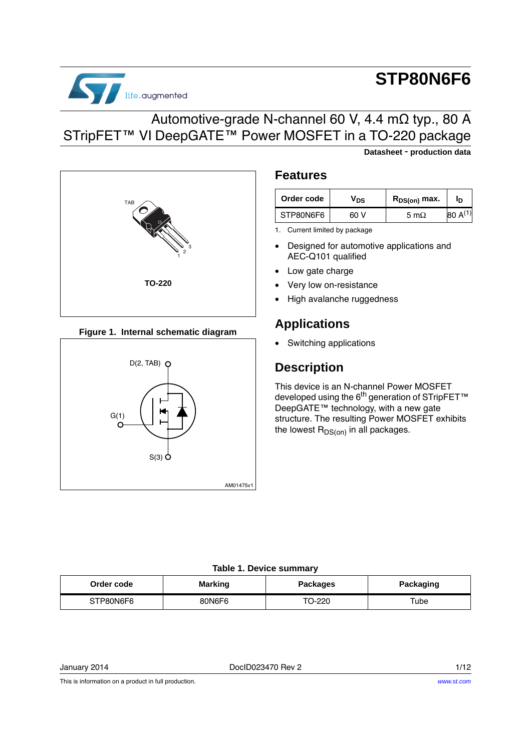

# **STP80N6F6**

**Datasheet** - **production data**

### Automotive-grade N-channel 60 V, 4.4 mΩ typ., 80 A STripFET™ VI DeepGATE™ Power MOSFET in a TO-220 package



#### **Figure 1. Internal schematic diagram**



#### <span id="page-0-0"></span>**Features**

| Order code | / <sub>DS</sub> | $R_{DS(on)}$ max. | חי |
|------------|-----------------|-------------------|----|
| STP80N6F6  | v               | 5 m $\Omega$      |    |

<span id="page-0-1"></span>1. Current limited by package

- Designed for automotive applications and AEC-Q101 qualified
- Low gate charge
- Very low on-resistance
- High avalanche ruggedness

### **Applications**

Switching applications

### **Description**

This device is an N-channel Power MOSFET developed using the 6<sup>th</sup> generation of STripFET<sup>™</sup> DeepGATE™ technology, with a new gate structure. The resulting Power MOSFET exhibits the lowest  $R_{DS(on)}$  in all packages.

#### **Table 1. Device summary**

| Order code | <b>Marking</b> | Packages | <b>Packaging</b> |
|------------|----------------|----------|------------------|
| STP80N6F6  | 80N6F6         | TO-220   | ™ube             |

January 2014 DocID023470 Rev 2 1/12

This is information on a product in full production.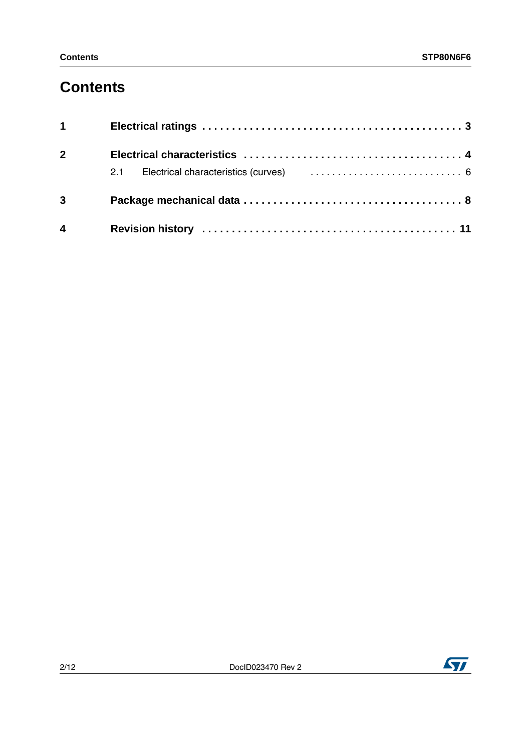## **Contents**

| $1 \quad \blacksquare$ |  |
|------------------------|--|
| $2^{\sim}$             |  |
|                        |  |
| $3^{\circ}$            |  |
| $\overline{4}$         |  |

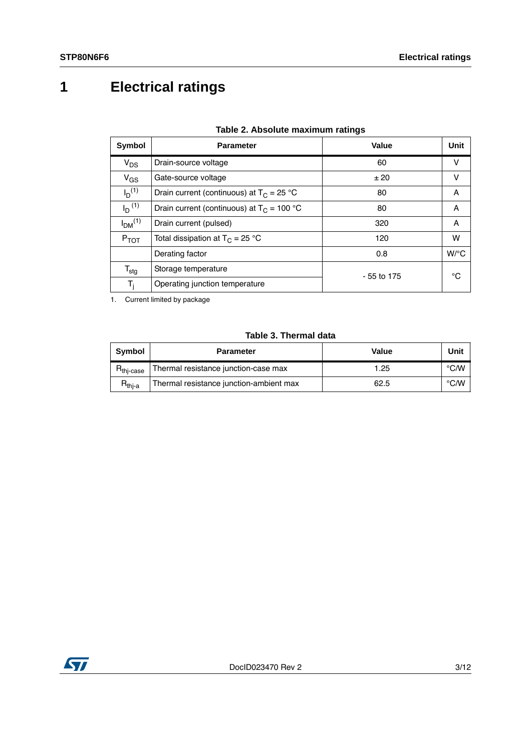<span id="page-2-0"></span>**1 Electrical ratings**

<span id="page-2-2"></span>

| Symbol                         | <b>Parameter</b>                             | Value        | Unit               |
|--------------------------------|----------------------------------------------|--------------|--------------------|
| $V_{DS}$                       | Drain-source voltage                         | 60           | v                  |
| $V_{GS}$                       | Gate-source voltage                          | ±20          | v                  |
| $I_D^{(1)}$                    | Drain current (continuous) at $T_c = 25 °C$  | 80           | A                  |
| $I_D$ <sup>(1)</sup>           | Drain current (continuous) at $T_C = 100 °C$ | 80           | A                  |
| I <sub>DM</sub> <sup>(1)</sup> | Drain current (pulsed)                       | 320          | A                  |
| $P_{TOT}$                      | Total dissipation at $T_c = 25 °C$           | 120          | w                  |
|                                | Derating factor                              | 0.8          | $W$ <sup>o</sup> C |
| $\mathsf{T}_{\text{stg}}$      | Storage temperature                          | $-55$ to 175 | °C                 |
| $T_i$                          | Operating junction temperature               |              |                    |

| Table 2. Absolute maximum ratings |  |  |  |  |  |
|-----------------------------------|--|--|--|--|--|
|-----------------------------------|--|--|--|--|--|

<span id="page-2-1"></span>1. Current limited by package

#### **Table 3. Thermal data**

<span id="page-2-3"></span>

| <b>Symbol</b>         | <b>Parameter</b>                        | Value | Unit |
|-----------------------|-----------------------------------------|-------|------|
| R <sub>thj-case</sub> | Thermal resistance junction-case max    | 1.25  | °C∕W |
| $R_{\mathsf{thi-a}}$  | Thermal resistance junction-ambient max | 62.5  | °C∕W |

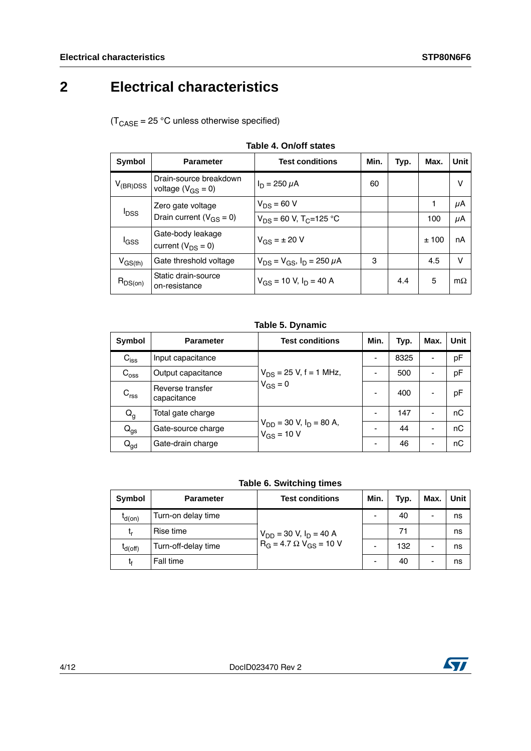## <span id="page-3-0"></span>**2 Electrical characteristics**

 $(T_{\text{CASE}} = 25 \text{ °C}$  unless otherwise specified)

<span id="page-3-1"></span>

| Symbol           | <b>Parameter</b>                                        | <b>Test conditions</b>                  | Min. | Typ. | Max. | Unit      |
|------------------|---------------------------------------------------------|-----------------------------------------|------|------|------|-----------|
| $V_{(BR)DSS}$    | Drain-source breakdown<br>voltage $(V_{GS} = 0)$        | $I_D = 250 \mu A$                       | 60   |      |      | v         |
|                  | Zero gate voltage                                       | $V_{DS} = 60 V$                         |      |      |      | μA        |
|                  | <b>I</b> <sub>DSS</sub><br>Drain current $(V_{GS} = 0)$ | $V_{DS}$ = 60 V, T <sub>C</sub> =125 °C |      |      | 100  | μA        |
| lgss             | Gate-body leakage<br>current ( $V_{DS} = 0$ )           | $V_{GS} = \pm 20 V$                     |      |      | ±100 | nA        |
| $V_{\rm GS(th)}$ | Gate threshold voltage                                  | $V_{DS} = V_{GS}$ , $I_D = 250 \mu A$   | 3    |      | 4.5  | v         |
| $R_{DS(on)}$     | Static drain-source<br>on-resistance                    | $V_{GS}$ = 10 V, $I_D$ = 40 A           |      | 4.4  | 5    | $m\Omega$ |

**Table 4. On/off states**

#### **Table 5. Dynamic**

<span id="page-3-2"></span>

| Symbol           | <b>Parameter</b>                | <b>Test conditions</b>                            | Min. | Typ. | Max.                     | Unit |
|------------------|---------------------------------|---------------------------------------------------|------|------|--------------------------|------|
| $C_{\text{iss}}$ | Input capacitance               |                                                   | -    | 8325 | $\overline{\phantom{0}}$ | pF   |
| $C_{\rm oss}$    | Output capacitance              | $V_{DS}$ = 25 V, f = 1 MHz,                       |      | 500  | $\overline{\phantom{0}}$ | pF   |
| $C_{\text{rss}}$ | Reverse transfer<br>capacitance | $V_{GS} = 0$                                      |      | 400  | $\overline{\phantom{0}}$ | pF   |
| $Q_g$            | Total gate charge               |                                                   |      | 147  |                          | nC   |
| $Q_{gs}$         | Gate-source charge              | $V_{DD}$ = 30 V, $I_D$ = 80 A,<br>$V_{GS} = 10 V$ |      | 44   |                          | nC   |
| $Q_{gd}$         | Gate-drain charge               |                                                   |      | 46   | $\overline{\phantom{a}}$ | nC   |

#### **Table 6. Switching times**

<span id="page-3-3"></span>

| Symbol       | <b>Parameter</b>    | <b>Test conditions</b>           | Min. | Typ. | Max. | Unit |
|--------------|---------------------|----------------------------------|------|------|------|------|
| $I_{d(on)}$  | Turn-on delay time  |                                  |      | 40   |      | ns   |
| t,           | Rise time           | $V_{DD}$ = 30 V, $I_D$ = 40 A    |      | 71   |      | ns   |
| $t_{d(Off)}$ | Turn-off-delay time | $R_G = 4.7 \Omega V_{GS} = 10 V$ |      | 132  | -    | ns   |
|              | Fall time           |                                  |      | 40   |      | ns   |

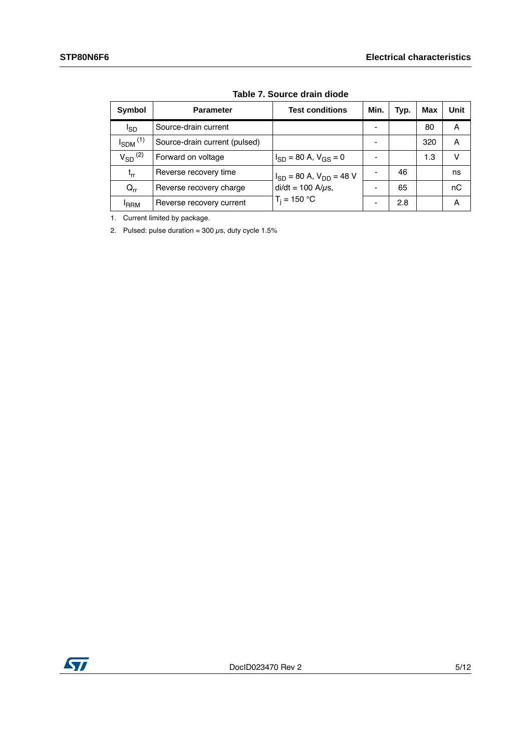<span id="page-4-0"></span>

| Symbol                     | <b>Parameter</b>              | <b>Test conditions</b>           | Min. | Typ. | <b>Max</b> | <b>Unit</b> |
|----------------------------|-------------------------------|----------------------------------|------|------|------------|-------------|
| I <sub>SD</sub>            | Source-drain current          |                                  |      |      | 80         | A           |
| $I_{SDM}$ <sup>(1)</sup>   | Source-drain current (pulsed) |                                  |      |      | 320        | A           |
| $V_{SD}$ <sup>(2)</sup>    | Forward on voltage            | $I_{SD}$ = 80 A, $V_{GS}$ = 0    |      |      | 1.3        | v           |
| $t_{rr}$                   | Reverse recovery time         | $I_{SD}$ = 80 A, $V_{DD}$ = 48 V |      | 46   |            | ns          |
| $\mathsf{Q}_{\mathsf{rr}}$ | Reverse recovery charge       | $di/dt = 100$ A/ $\mu$ s,        |      | 65   |            | nC          |
| <sup>I</sup> RRM           | Reverse recovery current      | $T_i = 150 °C$                   |      | 2.8  |            | A           |

**Table 7. Source drain diode**

1. Current limited by package.

2. Pulsed: pulse duration =  $300 \,\mu s$ , duty cycle 1.5%

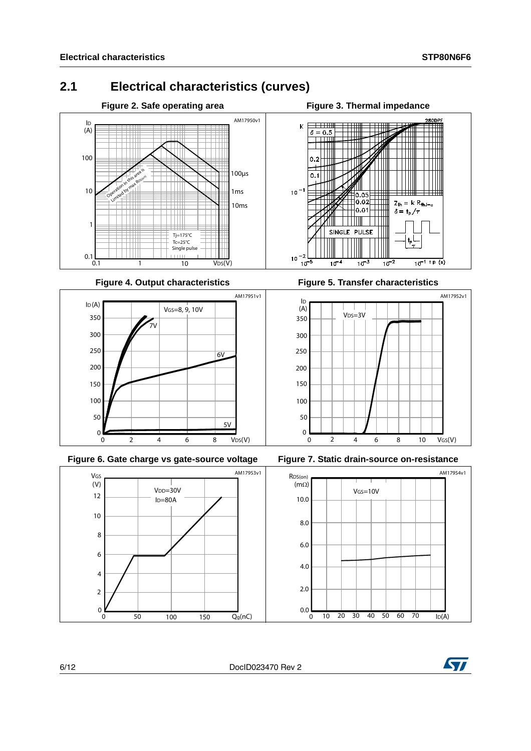### <span id="page-5-0"></span>**2.1 Electrical characteristics (curves)**









Figure 4. Output characteristics **Figure 5. Transfer characteristics** 





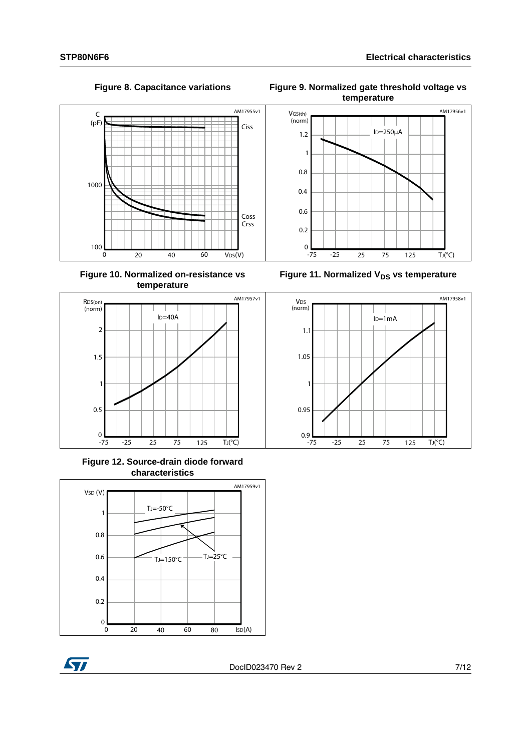

**Figure 10. Normalized on-resistance vs temperature**



**Figure 12. Source-drain diode forward characteristics**





Figure 8. Capacitance variations Figure 9. Normalized gate threshold voltage vs **temperature**



Figure 11. Normalized V<sub>DS</sub> vs temperature

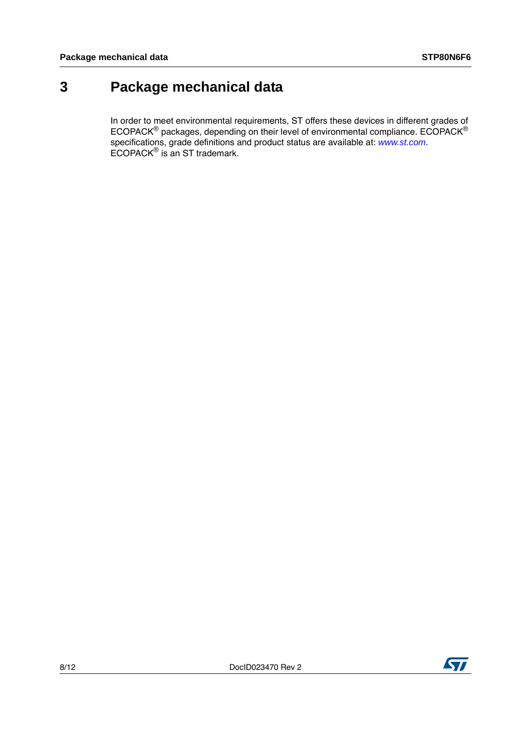### <span id="page-7-0"></span>**3 Package mechanical data**

In order to meet environmental requirements, ST offers these devices in different grades of ECOPACK $^{\circledR}$  packages, depending on their level of environmental compliance. ECOPACK $^{\circledR}$ specifications, grade definitions and product status are available at: *[www.st.com](http://www.st.com)*. ECOPACK® is an ST trademark.

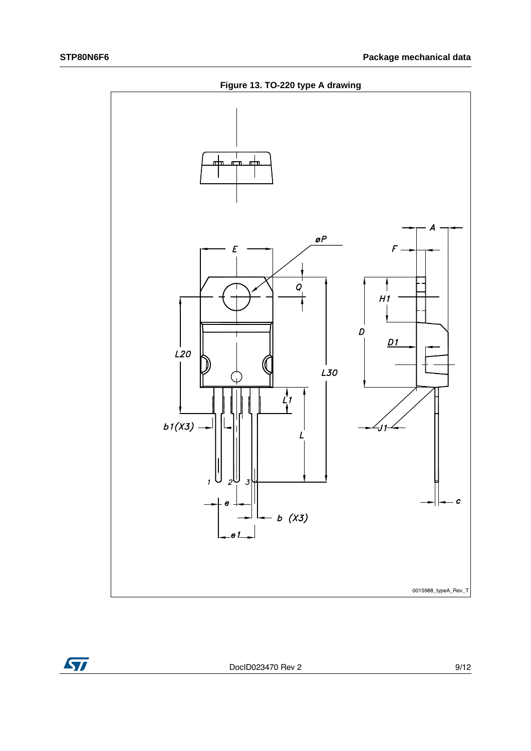**Figure 13. TO-220 type A drawing**





DocID023470 Rev 2 9/12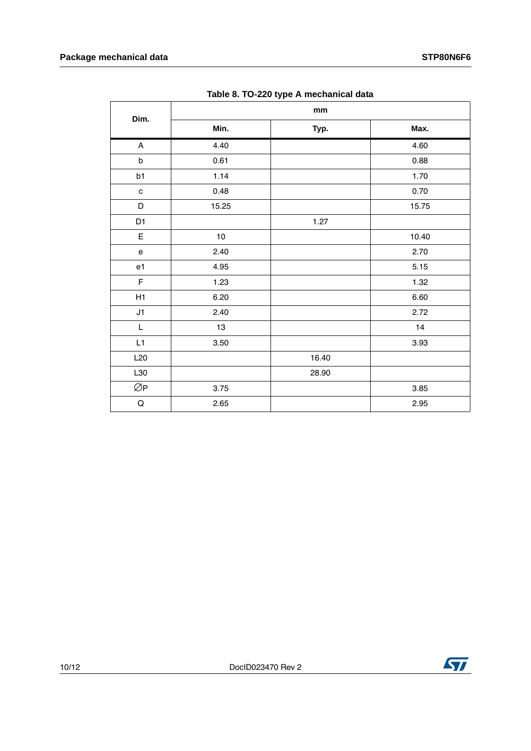|                                                                                                             | $\cdots$ | mm    |       |
|-------------------------------------------------------------------------------------------------------------|----------|-------|-------|
| Dim.                                                                                                        | Min.     | Typ.  | Max.  |
| $\mathsf{A}$                                                                                                | 4.40     |       | 4.60  |
| $\sf b$                                                                                                     | 0.61     |       | 0.88  |
| b1                                                                                                          | 1.14     |       | 1.70  |
| $\mathbf{C}$                                                                                                | 0.48     |       | 0.70  |
| D                                                                                                           | 15.25    |       | 15.75 |
| D1                                                                                                          |          | 1.27  |       |
| $\mathsf E$                                                                                                 | $10\,$   |       | 10.40 |
| $\mathsf{e}% _{0}\left( \mathsf{e}\right)$                                                                  | 2.40     |       | 2.70  |
| e <sub>1</sub>                                                                                              | 4.95     |       | 5.15  |
| $\mathsf F$                                                                                                 | 1.23     |       | 1.32  |
| H1                                                                                                          | 6.20     |       | 6.60  |
| J1                                                                                                          | 2.40     |       | 2.72  |
| $\mathsf{L}% _{0}\left( \mathsf{L}_{0}\right) ^{\ast }=\mathsf{L}_{0}\left( \mathsf{L}_{0}\right) ^{\ast }$ | 13       |       | 14    |
| L1                                                                                                          | $3.50\,$ |       | 3.93  |
| L20                                                                                                         |          | 16.40 |       |
| L30                                                                                                         |          | 28.90 |       |
| ØP                                                                                                          | 3.75     |       | 3.85  |
| $\mathsf Q$                                                                                                 | 2.65     |       | 2.95  |

**Table 8. TO-220 type A mechanical data**

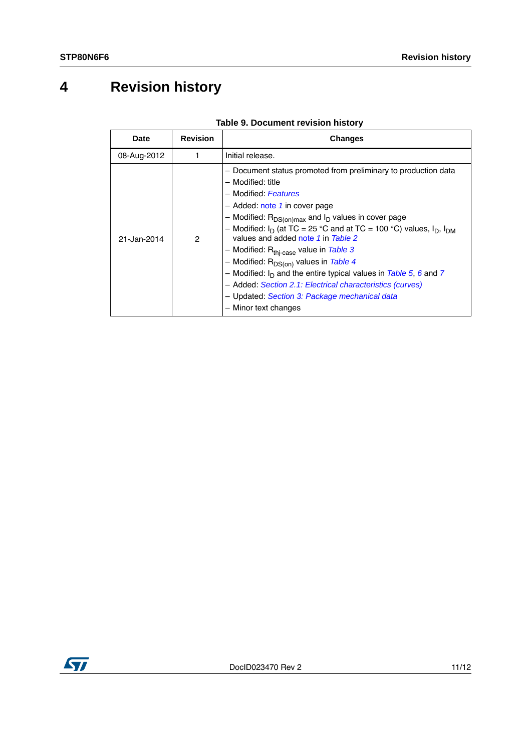## <span id="page-10-0"></span>**4 Revision history**

| <b>Date</b> | <b>Revision</b> | <b>Changes</b>                                                                                                                                                                                                                                                                                                                                                                                                                                                                                                                                                                                                                                       |
|-------------|-----------------|------------------------------------------------------------------------------------------------------------------------------------------------------------------------------------------------------------------------------------------------------------------------------------------------------------------------------------------------------------------------------------------------------------------------------------------------------------------------------------------------------------------------------------------------------------------------------------------------------------------------------------------------------|
| 08-Aug-2012 |                 | Initial release.                                                                                                                                                                                                                                                                                                                                                                                                                                                                                                                                                                                                                                     |
| 21-Jan-2014 | 2               | - Document status promoted from preliminary to production data<br>- Modified: title<br>- Modified: Features<br>$-$ Added: note 1 in cover page<br>- Modified: $R_{DS(on)max}$ and $I_D$ values in cover page<br>- Modified: $I_D$ (at TC = 25 °C and at TC = 100 °C) values, $I_D$ , $I_{DM}$<br>values and added note 1 in Table 2<br>- Modified: R <sub>thi-case</sub> value in Table 3<br>- Modified: $R_{DS(on)}$ values in Table 4<br>- Modified: $I_D$ and the entire typical values in Table 5, 6 and 7<br>- Added: Section 2.1: Electrical characteristics (curves)<br>- Updated: Section 3: Package mechanical data<br>- Minor text changes |

**Table 9. Document revision history**